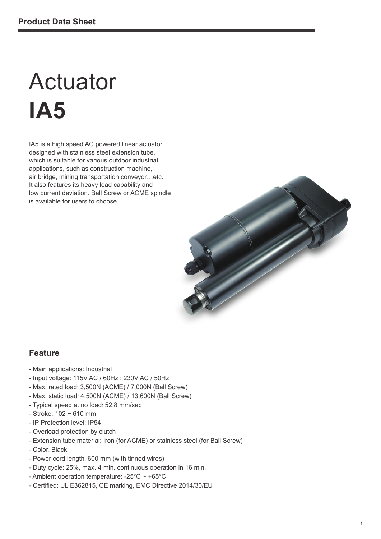# Actuator **IA5**

IA5 is a high speed AC powered linear actuator designed with stainless steel extension tube, which is suitable for various outdoor industrial applications, such as construction machine, air bridge, mining transportation conveyor…etc. It also features its heavy load capability and low current deviation. Ball Screw or ACME spindle is available for users to choose.



#### **Feature**

- Main applications: Industrial
- Input voltage: 115V AC / 60Hz ; 230V AC / 50Hz
- Max. rated load: 3,500N (ACME) / 7,000N (Ball Screw)
- Max. static load: 4,500N (ACME) / 13,600N (Ball Screw)
- Typical speed at no load: 52.8 mm/sec
- $-$  Stroke: 102  $\sim$  610 mm
- IP Protection level: IP54
- Overload protection by clutch
- Extension tube material: Iron (for ACME) or stainless steel (for Ball Screw)
- Color: Black
- Power cord length: 600 mm (with tinned wires)
- Duty cycle: 25%, max. 4 min. continuous operation in 16 min.
- Ambient operation temperature: -25°C ~ +65°C
- Certified: UL E362815, CE marking, EMC Directive 2014/30/EU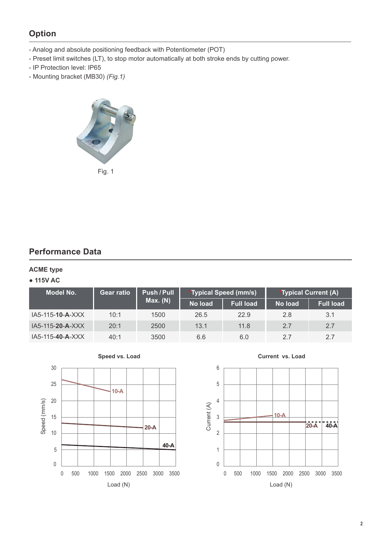# **Option**

- Analog and absolute positioning feedback with Potentiometer (POT)
- Preset limit switches (LT), to stop motor automatically at both stroke ends by cutting power.
- IP Protection level: IP65
- Mounting bracket (MB30) *(Fig.1)*



## **Performance Data**

#### **ACME type**

#### Ɣ **115V AC**

| Model No.          | <b>Push / Pull</b><br><b>Gear ratio</b> |          |         | <i>*</i> Typical Speed (mm/s) | <b>*Typical Current (A)</b>  |                  |  |
|--------------------|-----------------------------------------|----------|---------|-------------------------------|------------------------------|------------------|--|
|                    |                                         | Max. (N) | No load | <b>Full load</b>              | No load<br>2.8<br>2.7<br>2.7 | <b>Full load</b> |  |
| $IA5-115-10-A-XXX$ | 10:1                                    | 1500     | 26.5    | 22.9                          |                              | 3.1              |  |
| $IA5-115-20-A-XXX$ | 20:1                                    | 2500     | 13.1    | 11.8                          |                              | 2.7              |  |
| $IA5-115-40-A-XXX$ | 40:1                                    | 3500     | 6.6     | 6.0                           |                              | 2.7              |  |





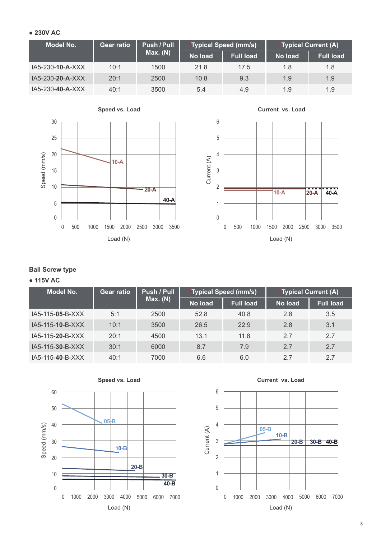#### Ɣ **230V AC**

| Model No.        | <b>Gear ratio</b> | Push / Pull |         | <i>*</i> Typical Speed (mm/s) |                                                             |                  |
|------------------|-------------------|-------------|---------|-------------------------------|-------------------------------------------------------------|------------------|
|                  |                   | Max. (N)    | No load | <b>Full load</b>              | <b>*Typical Current (A)</b><br>No load<br>1.8<br>1.9<br>1.9 | <b>Full load</b> |
| IA5-230-10-A-XXX | 10:1              | 1500        | 21.8    | 17.5                          |                                                             | 1.8              |
| IA5-230-20-A-XXX | 20:1              | 2500        | 10.8    | 9.3                           |                                                             | 1.9              |
| IA5-230-40-A-XXX | 40:1              | 3500        | 5.4     | 4.9                           |                                                             | 1.9              |





### **Ball Screw type**

#### Ɣ **115V AC**

| <b>Model No.</b> | <b>Gear ratio</b> | Push / Pull |         | 'Typical Speed (mm/s) |         | *Typical Current (A) |
|------------------|-------------------|-------------|---------|-----------------------|---------|----------------------|
|                  |                   | Max. (N)    | No load | <b>Full load</b>      | No load | <b>Full load</b>     |
| IA5-115-05-B-XXX | 5:1               | 2500        | 52.8    | 40.8                  | 2.8     | 3.5                  |
| IA5-115-10-B-XXX | 10:1              | 3500        | 26.5    | 22.9                  | 2.8     | 3.1                  |
| IA5-115-20-B-XXX | 20:1              | 4500        | 13.1    | 11.8                  | 2.7     | 2.7                  |
| IA5-115-30-B-XXX | 30:1              | 6000        | 8.7     | 7.9                   | 2.7     | 2.7                  |
| IA5-115-40-B-XXX | 40:1              | 7000        | 6.6     | 6.0                   | 2.7     | 2.7                  |



**Current vs. Load**

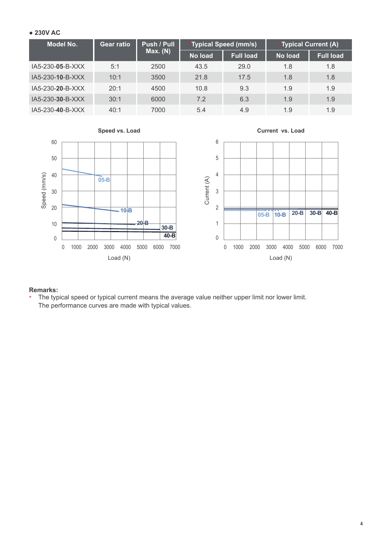#### Ɣ **230V AC**

| <b>Model No.</b>   | <b>Gear ratio</b> | Push / Pull |                | *Typical Speed (mm/s) | *Typical Current (A) |                  |
|--------------------|-------------------|-------------|----------------|-----------------------|----------------------|------------------|
|                    |                   | Max. (N)    | <b>No load</b> | <b>Full load</b>      | No load              | <b>Full load</b> |
| $IA5-230-05-B-XXX$ | 5:1               | 2500        | 43.5           | 29.0                  | 1.8                  | 1.8              |
| IA5-230-10-B-XXX   | 10:1              | 3500        | 21.8           | 17.5                  | 1.8                  | 1.8              |
| IA5-230-20-B-XXX   | 20:1              | 4500        | 10.8           | 9.3                   | 1.9                  | 1.9              |
| $IA5-230-30-B-XXX$ | 30:1              | 6000        | 7.2            | 6.3                   | 1.9                  | 1.9              |
| IA5-230-40-B-XXX   | 40:1              | 7000        | 5.4            | 4.9                   | 1.9                  | 1.9              |



#### **Remarks:**

\* The typical speed or typical current means the average value neither upper limit nor lower limit. The performance curves are made with typical values.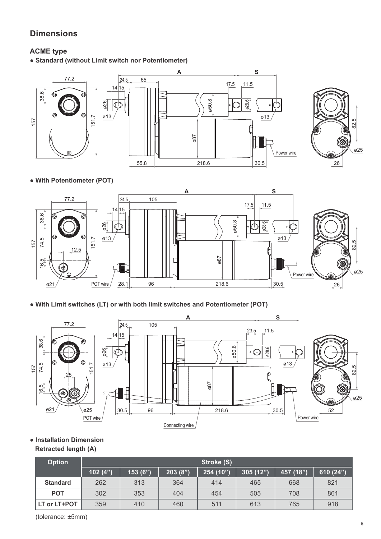# **Dimensions**

#### **ACME type**

• Standard (without Limit switch nor Potentiometer)





#### • With Potentiometer (POT)



. With Limit switches (LT) or with both limit switches and Potentiometer (POT)



• Installation Dimension

#### **Retracted length (A)**

| <b>Option</b>   |         |         |         | Stroke (S) |          |           |           |
|-----------------|---------|---------|---------|------------|----------|-----------|-----------|
|                 | 102(4") | 153(6") | 203(8") | 254 (10")  | 305(12") | 457 (18") | 610 (24") |
| <b>Standard</b> | 262     | 313     | 364     | 414        | 465      | 668       | 821       |
| <b>POT</b>      | 302     | 353     | 404     | 454        | 505      | 708       | 861       |
| LT or LT+POT    | 359     | 410     | 460     | 511        | 613      | 765       | 918       |

(tolerance: ±5mm)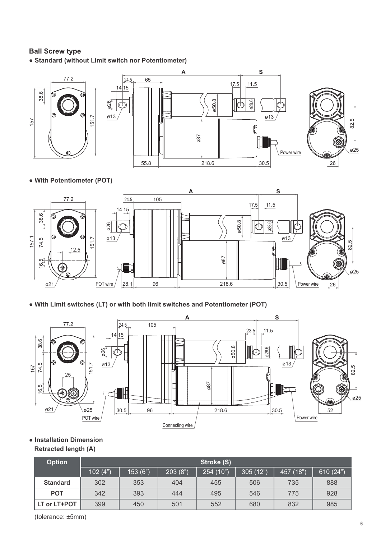#### **Ball Screw type**

• Standard (without Limit switch nor Potentiometer)



• With Potentiometer (POT)



• With Limit switches (LT) or with both limit switches and Potentiometer (POT)



• Installation Dimension

#### **Retracted length (A)**

| <b>Option</b>   |            |         |         | Stroke (S) |          |           |          |
|-----------------|------------|---------|---------|------------|----------|-----------|----------|
|                 | 102 $(4")$ | 153(6") | 203(8") | 254(10")   | 305(12") | 457 (18") | 610(24") |
| <b>Standard</b> | 302        | 353     | 404     | 455        | 506      | 735       | 888      |
| <b>POT</b>      | 342        | 393     | 444     | 495        | 546      | 775       | 928      |
| LT or LT+POT    | 399        | 450     | 501     | 552        | 680      | 832       | 985      |

(tolerance: ±5mm)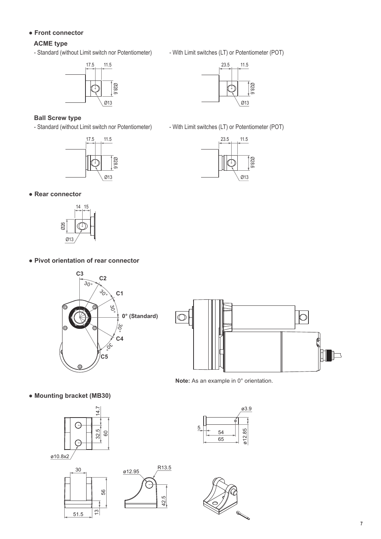#### • Front connector

#### **ACME type**

- Standard (without Limit switch nor Potentiometer) - With Limit switches (LT) or Potentiometer (POT)



#### **Ball Screw type**





- Standard (without Limit switch nor Potentiometer) - With Limit switches (LT) or Potentiometer (POT)



#### • Rear connector



#### • Pivot orientation of rear connector





**Note:** As an example in 0° orientation.

• Mounting bracket (MB30)



51.5



56

13

42.5



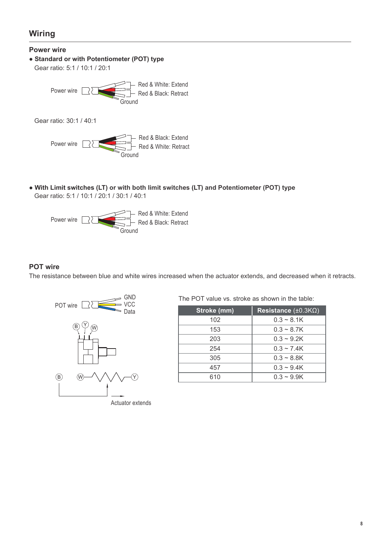# Wiring

**Power wire**

Ɣ**Standard or with Potentiometer (POT) type**

Gear ratio: 5:1 / 10:1 / 20:1



Gear ratio: 30:1 / 40:1



• With Limit switches (LT) or with both limit switches (LT) and Potentiometer (POT) type Gear ratio: 5:1 / 10:1 / 20:1 / 30:1 / 40:1



#### **POT wire**

The resistance between blue and white wires increased when the actuator extends, and decreased when it retracts.



The POT value vs. stroke as shown in the table:

| Stroke (mm) | Resistance $(\pm 0.3 K\Omega)$ |
|-------------|--------------------------------|
| 102         | $0.3 - 8.1K$                   |
| 153         | $0.3 - 8.7K$                   |
| 203         | $0.3 - 9.2K$                   |
| 254         | $0.3 - 7.4K$                   |
| 305         | $0.3 - 8.8K$                   |
| 457         | $0.3 - 9.4K$                   |
| 610         | $0.3 - 9.9K$                   |